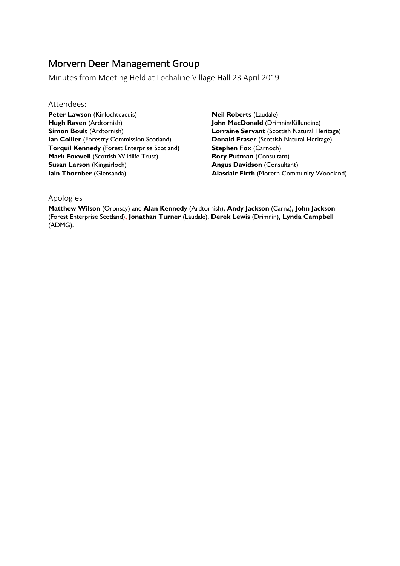## Morvern Deer Management Group

Minutes from Meeting Held at Lochaline Village Hall 23 April 2019

## Attendees:

**Peter Lawson** (Kinlochteacuis) **Hugh Raven** (Ardtornish) **Simon Boult** (Ardtornish) **Ian Collier** (Forestry Commission Scotland) **Torquil Kennedy** (Forest Enterprise Scotland) **Mark Foxwell (Scottish Wildlife Trust) Susan Larson** (Kingairloch) **Iain Thornber** (Glensanda)

**Neil Roberts** (Laudale) **John MacDonald** (Drimnin/Killundine) **Lorraine Servant** (Scottish Natural Heritage) **Donald Fraser** (Scottish Natural Heritage) **Stephen Fox (Carnoch) Rory Putman** (Consultant) **Angus Davidson** (Consultant) **Alasdair Firth** (Morern Community Woodland)

## Apologies

**Matthew Wilson** (Oronsay) and **Alan Kennedy** (Ardtornish)**, Andy Jackson** (Carna)**, John Jackson**  (Forest Enterprise Scotland)**, Jonathan Turner** (Laudale), **Derek Lewis** (Drimnin)**, Lynda Campbell** (ADMG).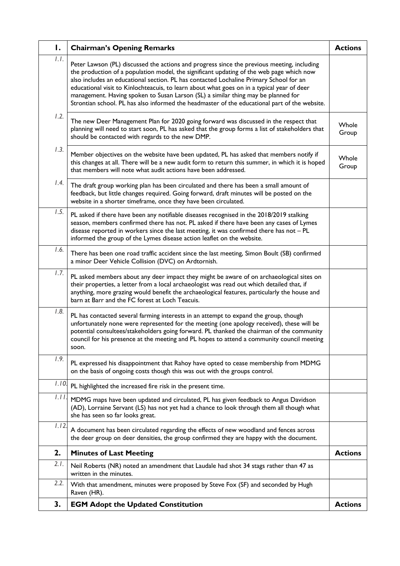| Ι.    | <b>Chairman's Opening Remarks</b>                                                                                                                                                                                                                                                                                                                                                                                                                                                                                                                                    | <b>Actions</b> |
|-------|----------------------------------------------------------------------------------------------------------------------------------------------------------------------------------------------------------------------------------------------------------------------------------------------------------------------------------------------------------------------------------------------------------------------------------------------------------------------------------------------------------------------------------------------------------------------|----------------|
| 1.1.  | Peter Lawson (PL) discussed the actions and progress since the previous meeting, including<br>the production of a population model, the significant updating of the web page which now<br>also includes an educational section. PL has contacted Lochaline Primary School for an<br>educational visit to Kinlochteacuis, to learn about what goes on in a typical year of deer<br>management. Having spoken to Susan Larson (SL) a similar thing may be planned for<br>Strontian school. PL has also informed the headmaster of the educational part of the website. |                |
| 1.2.  | The new Deer Management Plan for 2020 going forward was discussed in the respect that<br>planning will need to start soon, PL has asked that the group forms a list of stakeholders that<br>should be contacted with regards to the new DMP.                                                                                                                                                                                                                                                                                                                         | Whole<br>Group |
| 1.3.  | Member objectives on the website have been updated, PL has asked that members notify if<br>this changes at all. There will be a new audit form to return this summer, in which it is hoped<br>that members will note what audit actions have been addressed.                                                                                                                                                                                                                                                                                                         | Whole<br>Group |
| 1.4.  | The draft group working plan has been circulated and there has been a small amount of<br>feedback, but little changes required. Going forward, draft minutes will be posted on the<br>website in a shorter timeframe, once they have been circulated.                                                                                                                                                                                                                                                                                                                |                |
| 1.5.  | PL asked if there have been any notifiable diseases recognised in the 2018/2019 stalking<br>season, members confirmed there has not. PL asked if there have been any cases of Lymes<br>disease reported in workers since the last meeting, it was confirmed there has not - PL<br>informed the group of the Lymes disease action leaflet on the website.                                                                                                                                                                                                             |                |
| 1.6.  | There has been one road traffic accident since the last meeting, Simon Boult (SB) confirmed<br>a minor Deer Vehicle Collision (DVC) on Ardtornish.                                                                                                                                                                                                                                                                                                                                                                                                                   |                |
| 1.7.  | PL asked members about any deer impact they might be aware of on archaeological sites on<br>their properties, a letter from a local archaeologist was read out which detailed that, if<br>anything, more grazing would benefit the archaeological features, particularly the house and<br>barn at Barr and the FC forest at Loch Teacuis.                                                                                                                                                                                                                            |                |
| 1.8.  | PL has contacted several farming interests in an attempt to expand the group, though<br>unfortunately none were represented for the meeting (one apology received), these will be<br>potential consultees/stakeholders going forward. PL thanked the chairman of the community<br>council for his presence at the meeting and PL hopes to attend a community council meeting<br>soon.                                                                                                                                                                                |                |
| 1.9.  | PL expressed his disappointment that Rahoy have opted to cease membership from MDMG<br>on the basis of ongoing costs though this was out with the groups control.                                                                                                                                                                                                                                                                                                                                                                                                    |                |
| 1.10. | PL highlighted the increased fire risk in the present time.                                                                                                                                                                                                                                                                                                                                                                                                                                                                                                          |                |
| 1.11  | MDMG maps have been updated and circulated, PL has given feedback to Angus Davidson<br>(AD), Lorraine Servant (LS) has not yet had a chance to look through them all though what<br>she has seen so far looks great.                                                                                                                                                                                                                                                                                                                                                 |                |
| 1.12. | A document has been circulated regarding the effects of new woodland and fences across<br>the deer group on deer densities, the group confirmed they are happy with the document.                                                                                                                                                                                                                                                                                                                                                                                    |                |
| 2.    | <b>Minutes of Last Meeting</b>                                                                                                                                                                                                                                                                                                                                                                                                                                                                                                                                       | <b>Actions</b> |
| 2.1.  | Neil Roberts (NR) noted an amendment that Laudale had shot 34 stags rather than 47 as<br>written in the minutes.                                                                                                                                                                                                                                                                                                                                                                                                                                                     |                |
| 2.2.  | With that amendment, minutes were proposed by Steve Fox (SF) and seconded by Hugh<br>Raven (HR).                                                                                                                                                                                                                                                                                                                                                                                                                                                                     |                |
| 3.    | <b>EGM Adopt the Updated Constitution</b>                                                                                                                                                                                                                                                                                                                                                                                                                                                                                                                            | <b>Actions</b> |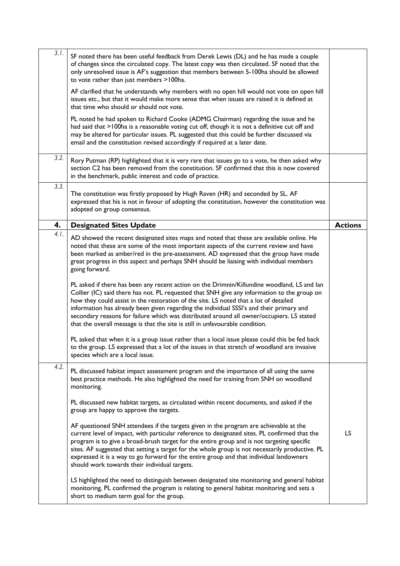| 3.1. |                                                                                                                                                                                                                                                                                                                                                                                                                                                                                                                                     |                |
|------|-------------------------------------------------------------------------------------------------------------------------------------------------------------------------------------------------------------------------------------------------------------------------------------------------------------------------------------------------------------------------------------------------------------------------------------------------------------------------------------------------------------------------------------|----------------|
|      | SF noted there has been useful feedback from Derek Lewis (DL) and he has made a couple<br>of changes since the circulated copy. The latest copy was then circulated. SF noted that the<br>only unresolved issue is AF's suggestion that members between 5-100ha should be allowed<br>to vote rather than just members >100ha.                                                                                                                                                                                                       |                |
|      | AF clarified that he understands why members with no open hill would not vote on open hill<br>issues etc., but that it would make more sense that when issues are raised it is defined at<br>that time who should or should not vote.                                                                                                                                                                                                                                                                                               |                |
|      | PL noted he had spoken to Richard Cooke (ADMG Chairman) regarding the issue and he<br>had said that >100ha is a reasonable voting cut off, though it is not a definitive cut off and<br>may be altered for particular issues. PL suggested that this could be further discussed via<br>email and the constitution revised accordingly if required at a later date.                                                                                                                                                                  |                |
| 3.2. | Rory Putman (RP) highlighted that it is very rare that issues go to a vote, he then asked why<br>section C2 has been removed from the constitution. SF confirmed that this is now covered<br>in the benchmark, public interest and code of practice.                                                                                                                                                                                                                                                                                |                |
| 3.3. | The constitution was firstly proposed by Hugh Raven (HR) and seconded by SL. AF<br>expressed that his is not in favour of adopting the constitution, however the constitution was<br>adopted on group consensus.                                                                                                                                                                                                                                                                                                                    |                |
| 4.   | <b>Designated Sites Update</b>                                                                                                                                                                                                                                                                                                                                                                                                                                                                                                      | <b>Actions</b> |
| 4.1. | AD showed the recent designated sites maps and noted that these are available online. He<br>noted that these are some of the most important aspects of the current review and have<br>been marked as amber/red in the pre-assessment. AD expressed that the group have made<br>great progress in this aspect and perhaps SNH should be liaising with individual members<br>going forward.<br>PL asked if there has been any recent action on the Drimnin/Killundine woodland, LS and lan                                            |                |
|      | Collier (IC) said there has not. PL requested that SNH give any information to the group on<br>how they could assist in the restoration of the site. LS noted that a lot of detailed<br>information has already been given regarding the individual SSSI's and their primary and<br>secondary reasons for failure which was distributed around all owner/occupiers. LS stated<br>that the overall message is that the site is still in unfavourable condition.                                                                      |                |
|      | PL asked that when it is a group issue rather than a local issue please could this be fed back<br>to the group. LS expressed that a lot of the issues in that stretch of woodland are invasive<br>species which are a local issue.                                                                                                                                                                                                                                                                                                  |                |
| 4.2. | PL discussed habitat impact assessment program and the importance of all using the same<br>best practice methods. He also highlighted the need for training from SNH on woodland<br>monitoring.                                                                                                                                                                                                                                                                                                                                     |                |
|      | PL discussed new habitat targets, as circulated within recent documents, and asked if the<br>group are happy to approve the targets.                                                                                                                                                                                                                                                                                                                                                                                                |                |
|      | AF questioned SNH attendees if the targets given in the program are achievable at the<br>current level of impact, with particular reference to designated sites. PL confirmed that the<br>program is to give a broad-brush target for the entire group and is not targeting specific<br>sites. AF suggested that setting a target for the whole group is not necessarily productive. PL<br>expressed it is a way to go forward for the entire group and that individual landowners<br>should work towards their individual targets. | LS             |
|      | LS highlighted the need to distinguish between designated site monitoring and general habitat<br>monitoring, PL confirmed the program is relating to general habitat monitoring and sets a<br>short to medium term goal for the group.                                                                                                                                                                                                                                                                                              |                |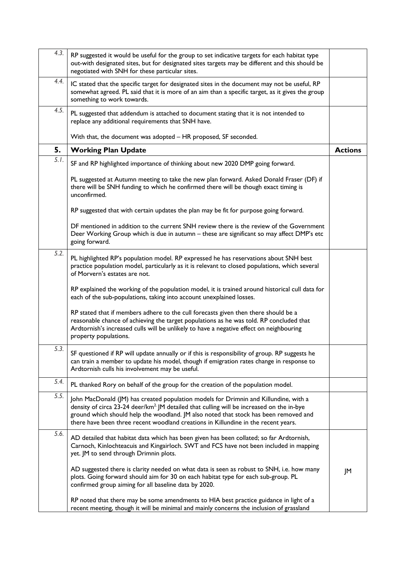| 4.3. | RP suggested it would be useful for the group to set indicative targets for each habitat type<br>out-with designated sites, but for designated sites targets may be different and this should be<br>negotiated with SNH for these particular sites.                                                                                                                        |                |
|------|----------------------------------------------------------------------------------------------------------------------------------------------------------------------------------------------------------------------------------------------------------------------------------------------------------------------------------------------------------------------------|----------------|
| 4.4. | IC stated that the specific target for designated sites in the document may not be useful, RP<br>somewhat agreed. PL said that it is more of an aim than a specific target, as it gives the group<br>something to work towards.                                                                                                                                            |                |
| 4.5. | PL suggested that addendum is attached to document stating that it is not intended to<br>replace any additional requirements that SNH have.                                                                                                                                                                                                                                |                |
|      | With that, the document was adopted - HR proposed, SF seconded.                                                                                                                                                                                                                                                                                                            |                |
| 5.   | <b>Working Plan Update</b>                                                                                                                                                                                                                                                                                                                                                 | <b>Actions</b> |
| 5.1. | SF and RP highlighted importance of thinking about new 2020 DMP going forward.                                                                                                                                                                                                                                                                                             |                |
|      | PL suggested at Autumn meeting to take the new plan forward. Asked Donald Fraser (DF) if<br>there will be SNH funding to which he confirmed there will be though exact timing is<br>unconfirmed.                                                                                                                                                                           |                |
|      | RP suggested that with certain updates the plan may be fit for purpose going forward.                                                                                                                                                                                                                                                                                      |                |
|      | DF mentioned in addition to the current SNH review there is the review of the Government<br>Deer Working Group which is due in autumn - these are significant so may affect DMP's etc<br>going forward.                                                                                                                                                                    |                |
| 5.2. | PL highlighted RP's population model. RP expressed he has reservations about SNH best<br>practice population model, particularly as it is relevant to closed populations, which several<br>of Morvern's estates are not.                                                                                                                                                   |                |
|      | RP explained the working of the population model, it is trained around historical cull data for<br>each of the sub-populations, taking into account unexplained losses.                                                                                                                                                                                                    |                |
|      | RP stated that if members adhere to the cull forecasts given then there should be a<br>reasonable chance of achieving the target populations as he was told. RP concluded that<br>Ardtornish's increased culls will be unlikely to have a negative effect on neighbouring<br>property populations.                                                                         |                |
| 5.3. | SF questioned if RP will update annually or if this is responsibility of group. RP suggests he<br>can train a member to update his model, though if emigration rates change in response to<br>Ardtornish culls his involvement may be useful.                                                                                                                              |                |
| 5.4. | PL thanked Rory on behalf of the group for the creation of the population model.                                                                                                                                                                                                                                                                                           |                |
| 5.5. | John MacDonald (JM) has created population models for Drimnin and Killundine, with a<br>density of circa 23-24 deer/km <sup>2</sup> JM detailed that culling will be increased on the in-bye<br>ground which should help the woodland. JM also noted that stock has been removed and<br>there have been three recent woodland creations in Killundine in the recent years. |                |
| 5.6. | AD detailed that habitat data which has been given has been collated; so far Ardtornish,<br>Carnoch, Kinlochteacuis and Kingairloch. SWT and FCS have not been included in mapping<br>yet. JM to send through Drimnin plots.                                                                                                                                               |                |
|      | AD suggested there is clarity needed on what data is seen as robust to SNH, i.e. how many<br>plots. Going forward should aim for 30 on each habitat type for each sub-group. PL<br>confirmed group aiming for all baseline data by 2020.                                                                                                                                   | JM             |
|      | RP noted that there may be some amendments to HIA best practice guidance in light of a<br>recent meeting, though it will be minimal and mainly concerns the inclusion of grassland                                                                                                                                                                                         |                |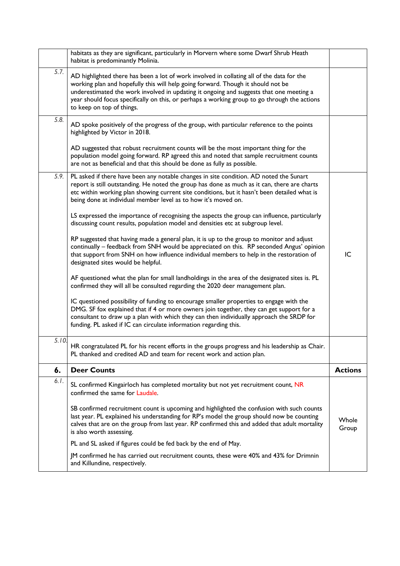|       | habitats as they are significant, particularly in Morvern where some Dwarf Shrub Heath<br>habitat is predominantly Molinia.                                                                                                                                                                                                                                                                           |                |
|-------|-------------------------------------------------------------------------------------------------------------------------------------------------------------------------------------------------------------------------------------------------------------------------------------------------------------------------------------------------------------------------------------------------------|----------------|
| 5.7.  | AD highlighted there has been a lot of work involved in collating all of the data for the<br>working plan and hopefully this will help going forward. Though it should not be<br>underestimated the work involved in updating it ongoing and suggests that one meeting a<br>year should focus specifically on this, or perhaps a working group to go through the actions<br>to keep on top of things. |                |
| 5.8.  | AD spoke positively of the progress of the group, with particular reference to the points<br>highlighted by Victor in 2018.                                                                                                                                                                                                                                                                           |                |
|       | AD suggested that robust recruitment counts will be the most important thing for the<br>population model going forward. RP agreed this and noted that sample recruitment counts<br>are not as beneficial and that this should be done as fully as possible.                                                                                                                                           |                |
| 5.9.  | PL asked if there have been any notable changes in site condition. AD noted the Sunart<br>report is still outstanding. He noted the group has done as much as it can, there are charts<br>etc within working plan showing current site conditions, but it hasn't been detailed what is<br>being done at individual member level as to how it's moved on.                                              |                |
|       | LS expressed the importance of recognising the aspects the group can influence, particularly<br>discussing count results, population model and densities etc at subgroup level.                                                                                                                                                                                                                       |                |
|       | RP suggested that having made a general plan, it is up to the group to monitor and adjust<br>continually - feedback from SNH would be appreciated on this. RP seconded Angus' opinion<br>that support from SNH on how influence individual members to help in the restoration of<br>designated sites would be helpful.                                                                                | IC             |
|       | AF questioned what the plan for small landholdings in the area of the designated sites is. PL<br>confirmed they will all be consulted regarding the 2020 deer management plan.                                                                                                                                                                                                                        |                |
|       | IC questioned possibility of funding to encourage smaller properties to engage with the<br>DMG. SF fox explained that if 4 or more owners join together, they can get support for a<br>consultant to draw up a plan with which they can then individually approach the SRDP for<br>funding. PL asked if IC can circulate information regarding this.                                                  |                |
| 5.10. | HR congratulated PL for his recent efforts in the groups progress and his leadership as Chair.<br>PL thanked and credited AD and team for recent work and action plan.                                                                                                                                                                                                                                |                |
| 6.    | <b>Deer Counts</b>                                                                                                                                                                                                                                                                                                                                                                                    | <b>Actions</b> |
| 6.1.  | SL confirmed Kingairloch has completed mortality but not yet recruitment count, NR<br>confirmed the same for Laudale.                                                                                                                                                                                                                                                                                 |                |
|       | SB confirmed recruitment count is upcoming and highlighted the confusion with such counts<br>last year. PL explained his understanding for RP's model the group should now be counting<br>calves that are on the group from last year. RP confirmed this and added that adult mortality<br>is also worth assessing.                                                                                   | Whole<br>Group |
|       | PL and SL asked if figures could be fed back by the end of May.                                                                                                                                                                                                                                                                                                                                       |                |
|       | JM confirmed he has carried out recruitment counts, these were 40% and 43% for Drimnin<br>and Killundine, respectively.                                                                                                                                                                                                                                                                               |                |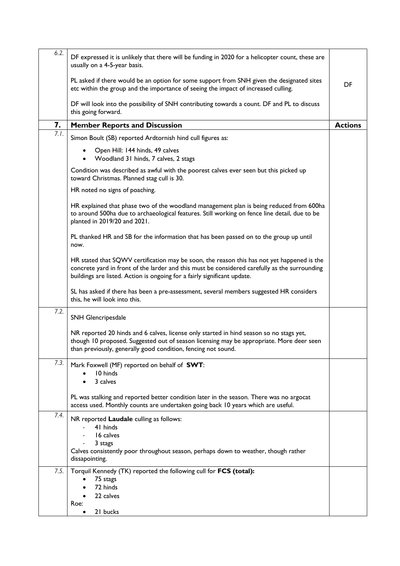| 6.2. | DF expressed it is unlikely that there will be funding in 2020 for a helicopter count, these are<br>usually on a 4-5-year basis.                                                                                                                                        |                |
|------|-------------------------------------------------------------------------------------------------------------------------------------------------------------------------------------------------------------------------------------------------------------------------|----------------|
|      | PL asked if there would be an option for some support from SNH given the designated sites<br>etc within the group and the importance of seeing the impact of increased culling.                                                                                         | DF             |
|      | DF will look into the possibility of SNH contributing towards a count. DF and PL to discuss<br>this going forward.                                                                                                                                                      |                |
| 7.   | <b>Member Reports and Discussion</b>                                                                                                                                                                                                                                    | <b>Actions</b> |
| 7.1. | Simon Boult (SB) reported Ardtornish hind cull figures as:                                                                                                                                                                                                              |                |
|      | Open Hill: 144 hinds, 49 calves<br>Woodland 31 hinds, 7 calves, 2 stags                                                                                                                                                                                                 |                |
|      | Condition was described as awful with the poorest calves ever seen but this picked up<br>toward Christmas. Planned stag cull is 30.                                                                                                                                     |                |
|      | HR noted no signs of poaching.                                                                                                                                                                                                                                          |                |
|      | HR explained that phase two of the woodland management plan is being reduced from 600ha<br>to around 500ha due to archaeological features. Still working on fence line detail, due to be<br>planted in 2019/20 and 2021.                                                |                |
|      | PL thanked HR and SB for the information that has been passed on to the group up until<br>now.                                                                                                                                                                          |                |
|      | HR stated that SQWV certification may be soon, the reason this has not yet happened is the<br>concrete yard in front of the larder and this must be considered carefully as the surrounding<br>buildings are listed. Action is ongoing for a fairly significant update. |                |
|      | SL has asked if there has been a pre-assessment, several members suggested HR considers<br>this, he will look into this.                                                                                                                                                |                |
| 7.2. | SNH Glencripesdale                                                                                                                                                                                                                                                      |                |
|      | NR reported 20 hinds and 6 calves, license only started in hind season so no stags yet,<br>though 10 proposed. Suggested out of season licensing may be appropriate. More deer seen<br>than previously, generally good condition, fencing not sound.                    |                |
| 7.3. | Mark Foxwell (MF) reported on behalf of SWT:<br>10 hinds<br>3 calves                                                                                                                                                                                                    |                |
|      | PL was stalking and reported better condition later in the season. There was no argocat<br>access used. Monthly counts are undertaken going back 10 years which are useful.                                                                                             |                |
| 7.4. | NR reported Laudale culling as follows:<br>41 hinds<br>16 calves<br>3 stags<br>Calves consistently poor throughout season, perhaps down to weather, though rather<br>dissapointing.                                                                                     |                |
| 7.5. | Torquil Kennedy (TK) reported the following cull for FCS (total):<br>75 stags<br>72 hinds<br>22 calves<br>Roe:<br>21 bucks                                                                                                                                              |                |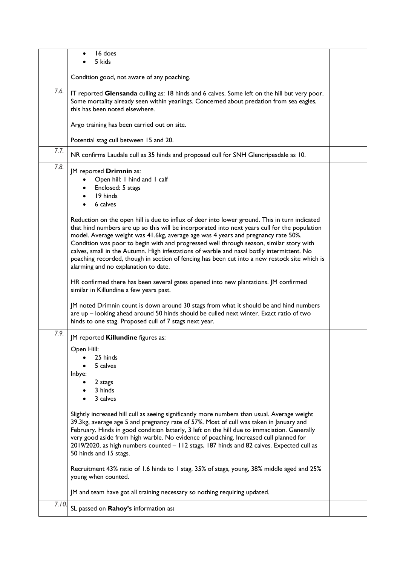|      | 16 does<br>5 kids                                                                                                                                                                                                                                                                                                                                                                                                                                                                                                                                                                                                     |  |
|------|-----------------------------------------------------------------------------------------------------------------------------------------------------------------------------------------------------------------------------------------------------------------------------------------------------------------------------------------------------------------------------------------------------------------------------------------------------------------------------------------------------------------------------------------------------------------------------------------------------------------------|--|
|      | Condition good, not aware of any poaching.                                                                                                                                                                                                                                                                                                                                                                                                                                                                                                                                                                            |  |
| 7.6. | IT reported Glensanda culling as: 18 hinds and 6 calves. Some left on the hill but very poor.<br>Some mortality already seen within yearlings. Concerned about predation from sea eagles,<br>this has been noted elsewhere.                                                                                                                                                                                                                                                                                                                                                                                           |  |
|      | Argo training has been carried out on site.                                                                                                                                                                                                                                                                                                                                                                                                                                                                                                                                                                           |  |
|      | Potential stag cull between 15 and 20.                                                                                                                                                                                                                                                                                                                                                                                                                                                                                                                                                                                |  |
| 7.7. | NR confirms Laudale cull as 35 hinds and proposed cull for SNH Glencripesdale as 10.                                                                                                                                                                                                                                                                                                                                                                                                                                                                                                                                  |  |
| 7.8. | JM reported Drimnin as:<br>Open hill: I hind and I calf<br>Enclosed: 5 stags<br>19 hinds<br>6 calves                                                                                                                                                                                                                                                                                                                                                                                                                                                                                                                  |  |
|      | Reduction on the open hill is due to influx of deer into lower ground. This in turn indicated<br>that hind numbers are up so this will be incorporated into next years cull for the population<br>model. Average weight was 41.6kg, average age was 4 years and pregnancy rate 50%.<br>Condition was poor to begin with and progressed well through season, similar story with<br>calves, small in the Autumn. High infestations of warble and nasal botfly intermittent. No<br>poaching recorded, though in section of fencing has been cut into a new restock site which is<br>alarming and no explanation to date. |  |
|      | HR confirmed there has been several gates opened into new plantations. JM confirmed<br>similar in Killundine a few years past.                                                                                                                                                                                                                                                                                                                                                                                                                                                                                        |  |
|      | JM noted Drimnin count is down around 30 stags from what it should be and hind numbers<br>are up - looking ahead around 50 hinds should be culled next winter. Exact ratio of two<br>hinds to one stag. Proposed cull of 7 stags next year.                                                                                                                                                                                                                                                                                                                                                                           |  |
| 7.9. | JM reported Killundine figures as:                                                                                                                                                                                                                                                                                                                                                                                                                                                                                                                                                                                    |  |
|      | Open Hill:                                                                                                                                                                                                                                                                                                                                                                                                                                                                                                                                                                                                            |  |
|      | 25 hinds<br>5 calves                                                                                                                                                                                                                                                                                                                                                                                                                                                                                                                                                                                                  |  |
|      | Inbye:                                                                                                                                                                                                                                                                                                                                                                                                                                                                                                                                                                                                                |  |
|      | 2 stags<br>3 hinds                                                                                                                                                                                                                                                                                                                                                                                                                                                                                                                                                                                                    |  |
|      | 3 calves                                                                                                                                                                                                                                                                                                                                                                                                                                                                                                                                                                                                              |  |
|      | Slightly increased hill cull as seeing significantly more numbers than usual. Average weight<br>39.3kg, average age 5 and pregnancy rate of 57%. Most of cull was taken in January and<br>February. Hinds in good condition latterly, 3 left on the hill due to immaciation. Generally<br>very good aside from high warble. No evidence of poaching. Increased cull planned for<br>2019/2020, as high numbers counted - 112 stags, 187 hinds and 82 calves. Expected cull as<br>50 hinds and 15 stags.                                                                                                                |  |
|      | Recruitment 43% ratio of 1.6 hinds to 1 stag. 35% of stags, young, 38% middle aged and 25%<br>young when counted.                                                                                                                                                                                                                                                                                                                                                                                                                                                                                                     |  |
|      | JM and team have got all training necessary so nothing requiring updated.                                                                                                                                                                                                                                                                                                                                                                                                                                                                                                                                             |  |
| 7.10 | SL passed on Rahoy's information as:                                                                                                                                                                                                                                                                                                                                                                                                                                                                                                                                                                                  |  |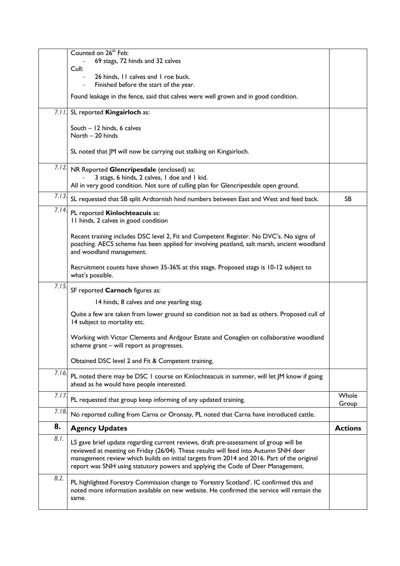|       | Counted on 26 <sup>th</sup> Feb:                                                                                                                                                                                                                                                                                                                              |                |
|-------|---------------------------------------------------------------------------------------------------------------------------------------------------------------------------------------------------------------------------------------------------------------------------------------------------------------------------------------------------------------|----------------|
|       | 69 stags, 72 hinds and 32 calves<br>Cull:                                                                                                                                                                                                                                                                                                                     |                |
|       | 26 hinds, 11 calves and 1 roe buck.<br>Finished before the start of the year.                                                                                                                                                                                                                                                                                 |                |
|       | Found leakage in the fence, said that calves were well grown and in good condition.                                                                                                                                                                                                                                                                           |                |
|       | 7.11. SL reported Kingairloch as:                                                                                                                                                                                                                                                                                                                             |                |
|       | South - 12 hinds, 6 calves<br>North - 20 hinds                                                                                                                                                                                                                                                                                                                |                |
|       | SL noted that JM will now be carrying out stalking on Kingairloch.                                                                                                                                                                                                                                                                                            |                |
| 7.12. | NR Reported Glencripesdale (enclosed) as:<br>3 stags, 6 hinds, 2 calves, 1 doe and 1 kid.<br>All in very good condition. Not sure of culling plan for Glencripesdale open ground.                                                                                                                                                                             |                |
| 7.13. | SL requested that SB split Ardtornish hind numbers between East and West and feed back.                                                                                                                                                                                                                                                                       | SB.            |
| 7.14. | PL reported Kinlochteacuis as:<br>11 hinds, 2 calves in good condition                                                                                                                                                                                                                                                                                        |                |
|       | Recent training includes DSC level 2, Fit and Competent Register. No DVC's. No signs of<br>poaching. AECS scheme has been applied for involving peatland, salt marsh, ancient woodland<br>and woodland management.                                                                                                                                            |                |
|       | Recruitment counts have shown 35-36% at this stage. Proposed stags is 10-12 subject to<br>what's possible.                                                                                                                                                                                                                                                    |                |
| 7.15  | SF reported Carnoch figures as:                                                                                                                                                                                                                                                                                                                               |                |
|       | 14 hinds, 8 calves and one yearling stag.                                                                                                                                                                                                                                                                                                                     |                |
|       | Quite a few are taken from lower ground so condition not as bad as others. Proposed cull of<br>14 subject to mortality etc.                                                                                                                                                                                                                                   |                |
|       | Working with Victor Clements and Ardgour Estate and Conaglen on collaborative woodland<br>scheme grant - will report as progresses.                                                                                                                                                                                                                           |                |
|       | Obtained DSC level 2 and Fit & Competent training.                                                                                                                                                                                                                                                                                                            |                |
| 7.16  | PL noted there may be DSC 1 course on Kinlochteacuis in summer, will let JM know if going<br>ahead as he would have people interested.                                                                                                                                                                                                                        |                |
| 7.17. | PL requested that group keep informing of any updated training.                                                                                                                                                                                                                                                                                               | Whole<br>Group |
| 7.18. | No reported culling from Carna or Oronsay, PL noted that Carna have introduced cattle.                                                                                                                                                                                                                                                                        |                |
| 8.    | <b>Agency Updates</b>                                                                                                                                                                                                                                                                                                                                         | <b>Actions</b> |
| 8.1.  | LS gave brief update regarding current reviews, draft pre-assessment of group will be<br>reviewed at meeting on Friday (26/04). These results will feed into Autumn SNH deer<br>management review which builds on initial targets from 2014 and 2016. Part of the original<br>report was SNH using statutory powers and applying the Code of Deer Management. |                |
| 8.2.  | PL highlighted Forestry Commission change to 'Forestry Scotland'. IC confirmed this and<br>noted more information available on new website. He confirmed the service will remain the<br>same.                                                                                                                                                                 |                |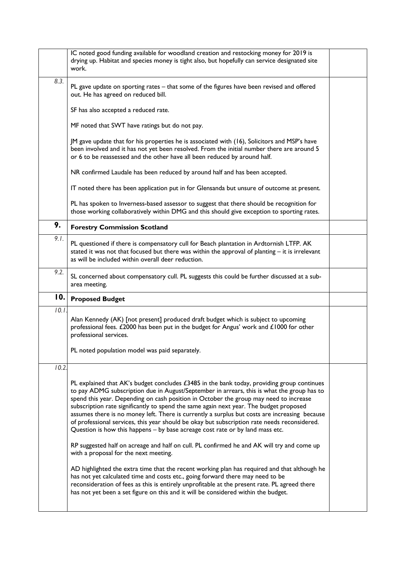|       | IC noted good funding available for woodland creation and restocking money for 2019 is<br>drying up. Habitat and species money is tight also, but hopefully can service designated site<br>work.                                                                                                                                                                                                                                                                                                                                                                                                                                                              |  |
|-------|---------------------------------------------------------------------------------------------------------------------------------------------------------------------------------------------------------------------------------------------------------------------------------------------------------------------------------------------------------------------------------------------------------------------------------------------------------------------------------------------------------------------------------------------------------------------------------------------------------------------------------------------------------------|--|
| 8.3.  | PL gave update on sporting rates - that some of the figures have been revised and offered<br>out. He has agreed on reduced bill.                                                                                                                                                                                                                                                                                                                                                                                                                                                                                                                              |  |
|       | SF has also accepted a reduced rate.                                                                                                                                                                                                                                                                                                                                                                                                                                                                                                                                                                                                                          |  |
|       | MF noted that SWT have ratings but do not pay.                                                                                                                                                                                                                                                                                                                                                                                                                                                                                                                                                                                                                |  |
|       | JM gave update that for his properties he is associated with (16), Solicitors and MSP's have<br>been involved and it has not yet been resolved. From the initial number there are around 5<br>or 6 to be reassessed and the other have all been reduced by around half.                                                                                                                                                                                                                                                                                                                                                                                       |  |
|       | NR confirmed Laudale has been reduced by around half and has been accepted.                                                                                                                                                                                                                                                                                                                                                                                                                                                                                                                                                                                   |  |
|       | IT noted there has been application put in for Glensanda but unsure of outcome at present.                                                                                                                                                                                                                                                                                                                                                                                                                                                                                                                                                                    |  |
|       | PL has spoken to Inverness-based assessor to suggest that there should be recognition for<br>those working collaboratively within DMG and this should give exception to sporting rates.                                                                                                                                                                                                                                                                                                                                                                                                                                                                       |  |
| 9.    | <b>Forestry Commission Scotland</b>                                                                                                                                                                                                                                                                                                                                                                                                                                                                                                                                                                                                                           |  |
| 9.1.  | PL questioned if there is compensatory cull for Beach plantation in Ardtornish LTFP. AK<br>stated it was not that focused but there was within the approval of planting - it is irrelevant<br>as will be included within overall deer reduction.                                                                                                                                                                                                                                                                                                                                                                                                              |  |
| 9.2.  | SL concerned about compensatory cull. PL suggests this could be further discussed at a sub-<br>area meeting.                                                                                                                                                                                                                                                                                                                                                                                                                                                                                                                                                  |  |
| 10.   | <b>Proposed Budget</b>                                                                                                                                                                                                                                                                                                                                                                                                                                                                                                                                                                                                                                        |  |
| 10.1. | Alan Kennedy (AK) [not present] produced draft budget which is subject to upcoming<br>professional fees. £2000 has been put in the budget for Angus' work and $£1000$ for other<br>professional services.                                                                                                                                                                                                                                                                                                                                                                                                                                                     |  |
|       | PL noted population model was paid separately.                                                                                                                                                                                                                                                                                                                                                                                                                                                                                                                                                                                                                |  |
| 10.2. |                                                                                                                                                                                                                                                                                                                                                                                                                                                                                                                                                                                                                                                               |  |
|       | PL explained that AK's budget concludes £3485 in the bank today, providing group continues<br>to pay ADMG subscription due in August/September in arrears, this is what the group has to<br>spend this year. Depending on cash position in October the group may need to increase<br>subscription rate significantly to spend the same again next year. The budget proposed<br>assumes there is no money left. There is currently a surplus but costs are increasing because<br>of professional services, this year should be okay but subscription rate needs reconsidered.<br>Question is how this happens - by base acreage cost rate or by land mass etc. |  |
|       | RP suggested half on acreage and half on cull. PL confirmed he and AK will try and come up<br>with a proposal for the next meeting.                                                                                                                                                                                                                                                                                                                                                                                                                                                                                                                           |  |
|       | AD highlighted the extra time that the recent working plan has required and that although he<br>has not yet calculated time and costs etc., going forward there may need to be<br>reconsideration of fees as this is entirely unprofitable at the present rate. PL agreed there<br>has not yet been a set figure on this and it will be considered within the budget.                                                                                                                                                                                                                                                                                         |  |